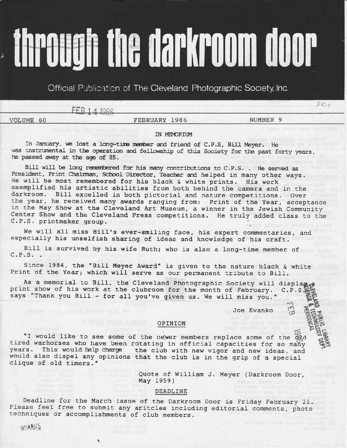# **Through the darkroom door**

Official Publication of The Cleveland Photographic Society, Inc.

 $FFR141986$ 

# VOLUME 60

FEBRUARY 1986

NUMBER 9

 $SC_{1}$ 

## IN MEMORIUM

In January, we lost a long-time member and friend of C.P.S, Bill Meyer. He was instrumental in the operation and fellowship of this Society for the past forty years, he passed away at the age of 85.

Bill will be long remembered for his many contributions to C.P.S. . He served as President, Print Chairman, School Director, Teacher and helped in many other ways. He will be most remembered for his black & white prints. His work exemplified his artistic abilities from both behind the camera and in the darkroom. Bill excelled in both pictorial and nature competitions. Over the year, he received many awards ranging from: Print of the Year, acceptance in the May Show at the Cleveland Art Museum, a winner in the Jewish Community Center Show and the Cleveland Press competitions. He truly added class to the C.P.S. printmaker group.

We will all miss Bill's ever-smiling face, his expert commentaries, and especially his unselfish sharing of ideas and knowledge of his craft.

Bill is survived by his wife Ruth; who is also a long-time member of  $C.P.S.$ .

Since 1984, the "Bill Meyer Award" is given to the nature black & white Print of the Year; which will serve as our permanent tribute to Bill.

As a memorial to Bill, the Cleveland Photographic Society will display of print show of his work at the clubroom for the month of February. C.P.S. says "Thank you Bill - for all you've given us. We will miss you."

Joe Evanko

## OPINION

"I would like to see some of the newer members replace some of the old tired warhorses who have been rotating in official capacities for so many years. This would help charge the club with new vigor and new ideas, and would also dispel any opinions that the club is in the grip of a special clique of old timers."

> Quote of William J. Meyer (Darkroom Door, May 1959)

### DEADLINE

Deadline for the March issue of the Darkroom Door is Friday February 21. Please feel free to submit any aritcles including editorial comments, photo techniques or accomplishments of club members.